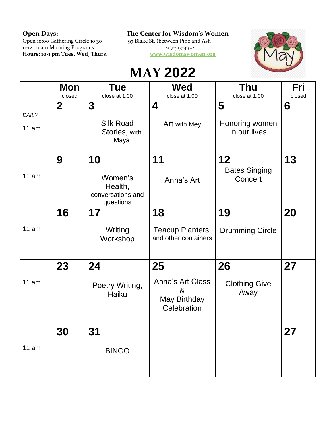Open 10:00 Gathering Circle 10:30 97 Blake St. (between Pine and Ash) 11-12:00 am Morning Programs 207-513-3922

**Open Days: The Center for Wisdom's Women**

**Hours: 10-1 pm Tues, Wed, Thurs. [www.wisdomswomen.org](http://www.wisdomswomen.org/)**



## **MAY 2022**

|                | Mon<br>closed | <b>Tue</b><br>close at 1:00                                | Wed<br>close at 1:00                                              | Thu<br>close at 1:00                  | Fri<br>closed |
|----------------|---------------|------------------------------------------------------------|-------------------------------------------------------------------|---------------------------------------|---------------|
| DAILY<br>11 am | $\mathbf{2}$  | 3<br><b>Silk Road</b><br>Stories, with<br>Maya             | 4<br>Art with Mey                                                 | 5<br>Honoring women<br>in our lives   | 6             |
| 11 am          | 9             | 10<br>Women's<br>Health,<br>conversations and<br>questions | 11<br>Anna's Art                                                  | 12<br><b>Bates Singing</b><br>Concert | 13            |
| 11 am          | 16            | 17<br>Writing<br>Workshop                                  | 18<br>Teacup Planters,<br>and other containers                    | 19<br><b>Drumming Circle</b>          | 20            |
| 11 am          | 23            | 24<br>Poetry Writing,<br>Haiku                             | 25<br><b>Anna's Art Class</b><br>&<br>May Birthday<br>Celebration | 26<br><b>Clothing Give</b><br>Away    | 27            |
| 11 am          | 30            | 31<br><b>BINGO</b>                                         |                                                                   |                                       | 27            |